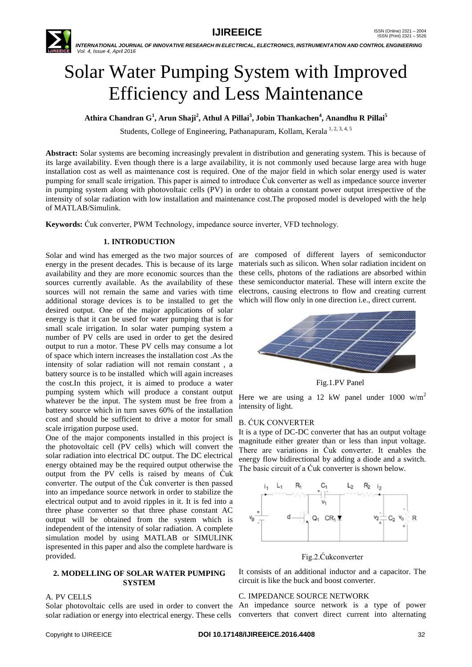

# Solar Water Pumping System with Improved Efficiency and Less Maintenance

**Athira Chandran G<sup>1</sup> , Arun Shaji<sup>2</sup> , Athul A Pillai<sup>3</sup> , Jobin Thankachen<sup>4</sup> , Anandhu R Pillai<sup>5</sup>**

Students, College of Engineering, Pathanapuram, Kollam, Kerala<sup>1, 2, 3, 4, 5</sup>

**Abstract:** Solar systems are becoming increasingly prevalent in distribution and generating system. This is because of its large availability. Even though there is a large availability, it is not commonly used because large area with huge installation cost as well as maintenance cost is required. One of the major field in which solar energy used is water pumping for small scale irrigation. This paper is aimed to introduce Ćuk converter as well as impedance source inverter in pumping system along with photovoltaic cells (PV) in order to obtain a constant power output irrespective of the intensity of solar radiation with low installation and maintenance cost.The proposed model is developed with the help of MATLAB/Simulink.

**Keywords:** Ćuk converter, PWM Technology, impedance source inverter, VFD technology.

# **1. INTRODUCTION**

Solar and wind has emerged as the two major sources of are composed of different layers of semiconductor energy in the present decades. This is because of its large materials such as silicon. When solar radiation incident on availability and they are more economic sources than the sources currently available. As the availability of these sources will not remain the same and varies with time additional storage devices is to be installed to get the desired output. One of the major applications of solar energy is that it can be used for water pumping that is for small scale irrigation. In solar water pumping system a number of PV cells are used in order to get the desired output to run a motor. These PV cells may consume a lot of space which intern increases the installation cost .As the intensity of solar radiation will not remain constant , a battery source is to be installed which will again increases the cost.In this project, it is aimed to produce a water pumping system which will produce a constant output whatever be the input. The system must be free from a battery source which in turn saves 60% of the installation cost and should be sufficient to drive a motor for small scale irrigation purpose used.

One of the major components installed in this project is the photovoltaic cell (PV cells) which will convert the solar radiation into electrical DC output. The DC electrical energy obtained may be the required output otherwise the output from the PV cells is raised by means of Ćuk converter. The output of the Ćuk converter is then passed into an impedance source network in order to stabilize the electrical output and to avoid ripples in it. It is fed into a three phase converter so that three phase constant AC output will be obtained from the system which is independent of the intensity of solar radiation. A complete simulation model by using MATLAB or SIMULINK ispresented in this paper and also the complete hardware is provided.

#### **2. MODELLING OF SOLAR WATER PUMPING SYSTEM**

#### A. PV CELLS

solar radiation or energy into electrical energy. These cells

these cells, photons of the radiations are absorbed within these semiconductor material. These will intern excite the electrons, causing electrons to flow and creating current which will flow only in one direction i.e., direct current.



Fig.1.PV Panel

Here we are using a 12 kW panel under 1000  $w/m^2$ intensity of light.

# B. ĆUK CONVERTER

It is a type of DC-DC converter that has an output voltage magnitude either greater than or less than input voltage. There are variations in Ćuk converter. It enables the energy flow bidirectional by adding a diode and a switch. The basic circuit of a Ćuk converter is shown below.



Fig.2.Ćukconverter

It consists of an additional inductor and a capacitor. The circuit is like the buck and boost converter.

#### C. IMPEDANCE SOURCE NETWORK

Solar photovoltaic cells are used in order to convert the An impedance source network is a type of power converters that convert direct current into alternating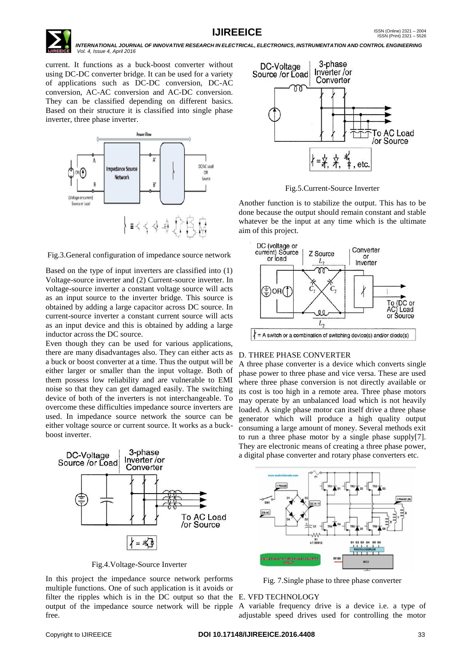

current. It functions as a buck-boost converter without using DC-DC converter bridge. It can be used for a variety of applications such as DC-DC conversion, DC-AC conversion, AC-AC conversion and AC-DC conversion. They can be classified depending on different basics. Based on their structure it is classified into single phase inverter, three phase inverter.



Fig.3.General configuration of impedance source network

Based on the type of input inverters are classified into (1) Voltage-source inverter and (2) Current-source inverter. In voltage-source inverter a constant voltage source will acts as an input source to the inverter bridge. This source is obtained by adding a large capacitor across DC source. In current-source inverter a constant current source will acts as an input device and this is obtained by adding a large inductor across the DC source.

Even though they can be used for various applications, there are many disadvantages also. They can either acts as a buck or boost converter at a time. Thus the output will be either larger or smaller than the input voltage. Both of them possess low reliability and are vulnerable to EMI noise so that they can get damaged easily. The switching device of both of the inverters is not interchangeable. To overcome these difficulties impedance source inverters are used. In impedance source network the source can be either voltage source or current source. It works as a buckboost inverter.



Fig.4.Voltage-Source Inverter

In this project the impedance source network performs multiple functions. One of such application is it avoids or filter the ripples which is in the DC output so that the E. VFD TECHNOLOGY output of the impedance source network will be ripple A variable frequency drive is a device i.e. a type of free.



Fig.5.Current-Source Inverter

Another function is to stabilize the output. This has to be done because the output should remain constant and stable whatever be the input at any time which is the ultimate aim of this project.



#### D. THREE PHASE CONVERTER

A three phase converter is a device which converts single phase power to three phase and vice versa. These are used where three phase conversion is not directly available or its cost is too high in a remote area. Three phase motors may operate by an unbalanced load which is not heavily loaded. A single phase motor can itself drive a three phase generator which will produce a high quality output consuming a large amount of money. Several methods exit to run a three phase motor by a single phase supply[7]. They are electronic means of creating a three phase power, a digital phase converter and rotary phase converters etc.



Fig. 7.Single phase to three phase converter

adjustable speed drives used for controlling the motor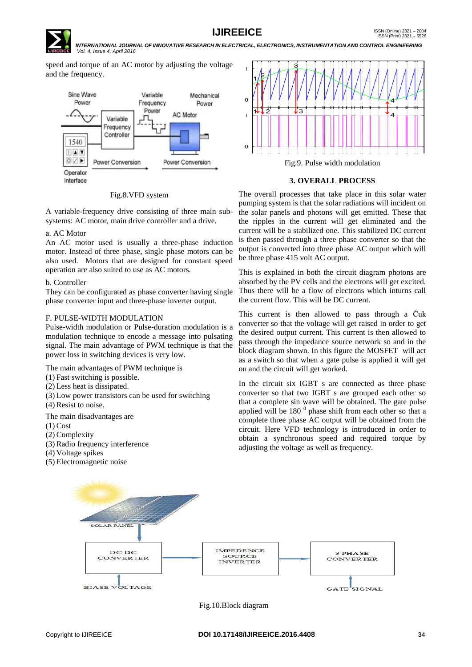# **IJIREEICE ISSN** (Online)  $2321 - 2004$ <br>ISSN (Print)  $2321 - 5526$

 *INTERNATIONAL JOURNAL OF INNOVATIVE RESEARCH IN ELECTRICAL, ELECTRONICS, INSTRUMENTATION AND CONTROL ENGINEERING Vol. 4, Issue 4, April 2016*

speed and torque of an AC motor by adjusting the voltage and the frequency.



#### Fig.8.VFD system

A variable-frequency drive consisting of three main subsystems: AC motor, main drive controller and a drive.

#### a. AC Motor

An AC motor used is usually a three-phase induction motor. Instead of three phase, single phase motors can be also used. Motors that are designed for constant speed operation are also suited to use as AC motors.

#### b. Controller

They can be configurated as phase converter having single phase converter input and three-phase inverter output.

#### F. PULSE-WIDTH MODULATION

Pulse-width modulation or Pulse-duration modulation is a modulation technique to encode a message into pulsating signal. The main advantage of PWM technique is that the power loss in switching devices is very low.

The main advantages of PWM technique is

- (1) Fast switching is possible.
- (2) Less heat is dissipated.
- (3) Low power transistors can be used for switching
- (4) Resist to noise.

The main disadvantages are

- $(1)$  Cost
- (2) Complexity
- (3) Radio frequency interference
- (4) Voltage spikes
- (5) Electromagnetic noise



#### **3. OVERALL PROCESS**

The overall processes that take place in this solar water pumping system is that the solar radiations will incident on the solar panels and photons will get emitted. These that the ripples in the current will get eliminated and the current will be a stabilized one. This stabilized DC current is then passed through a three phase converter so that the output is converted into three phase AC output which will be three phase 415 volt AC output.

This is explained in both the circuit diagram photons are absorbed by the PV cells and the electrons will get excited. Thus there will be a flow of electrons which inturns call the current flow. This will be DC current.

This current is then allowed to pass through a Ćuk converter so that the voltage will get raised in order to get the desired output current. This current is then allowed to pass through the impedance source network so and in the block diagram shown. In this figure the MOSFET will act as a switch so that when a gate pulse is applied it will get on and the circuit will get worked.

In the circuit six IGBT s are connected as three phase converter so that two IGBT s are grouped each other so that a complete sin wave will be obtained. The gate pulse applied will be  $180<sup>0</sup>$  phase shift from each other so that a complete three phase AC output will be obtained from the circuit. Here VFD technology is introduced in order to obtain a synchronous speed and required torque by adjusting the voltage as well as frequency.



Fig.10.Block diagram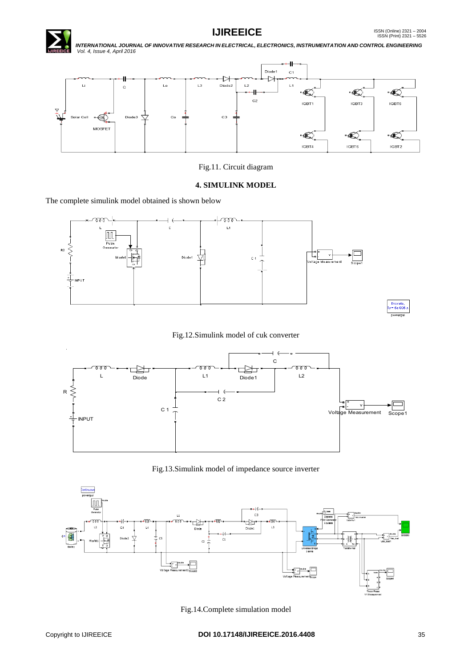



# Fig.11. Circuit diagram

#### **4. SIMULINK MODEL**

The complete simulink model obtained is shown below





#### Fig.12.Simulink model of cuk converter



Fig.13.Simulink model of impedance source inverter



Fig.14.Complete simulation model